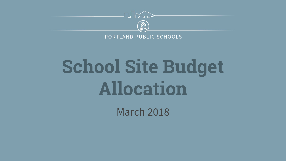

PORTLAND PUBLIC SCHOOLS

# **School Site Budget Allocation**

March 2018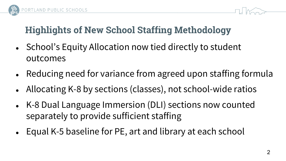



### **Highlights of New School Staffing Methodology**

- School's Equity Allocation now tied directly to student outcomes
- Reducing need for variance from agreed upon staffing formula
- Allocating K-8 by sections (classes), not school-wide ratios
- K-8 Dual Language Immersion (DLI) sections now counted separately to provide sufficient staffing
- Equal K-5 baseline for PE, art and library at each school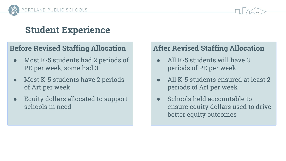



#### **Student Experience**

#### **Before Revised Staffing Allocation**

- Most K-5 students had 2 periods of PE per week, some had 3
- Most K-5 students have 2 periods of Art per week
- Equity dollars allocated to support schools in need

#### **After Revised Staffing Allocation**

- All K-5 students will have 3 periods of PE per week
- All K-5 students ensured at least 2 periods of Art per week
- Schools held accountable to ensure equity dollars used to drive better equity outcomes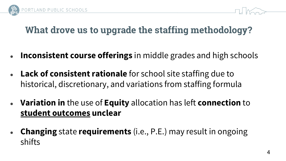



#### **What drove us to upgrade the staffing methodology?**

- **Inconsistent course offerings** in middle grades and high schools
- **Lack of consistent rationale** for school site staffing due to historical, discretionary, and variations from staffing formula
- **Variation in** the use of **Equity** allocation has left **connection** to **student outcomes unclear**
- **Changing** state **requirements** (i.e., P.E.) may result in ongoing shifts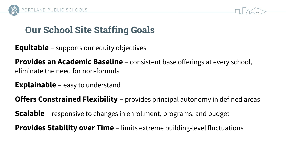



#### **Our School Site Staffing Goals**

**Equitable** – supports our equity objectives

**Provides an Academic Baseline** – consistent base offerings at every school, eliminate the need for non-formula

**Explainable** – easy to understand

**Offers Constrained Flexibility** – provides principal autonomy in defined areas

**Scalable** – responsive to changes in enrollment, programs, and budget

**Provides Stability over Time** – limits extreme building-level fluctuations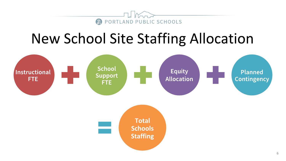

## **New School Site Staffing Allocation**

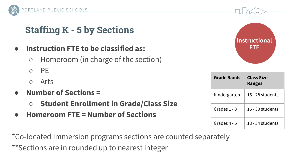

### **Staffing K - 5 by Sections**

- **● Instruction FTE to be classified as:** 
	- **○** Homeroom (in charge of the section)
	- PE
	- Arts
- **● Number of Sections =** 
	- **○ Student Enrollment in Grade/Class Size**
- **● Homeroom FTE = Number of Sections**

\*Co-located Immersion programs sections are counted separately \*\*Sections are in rounded up to nearest integer



| <b>Grade Bands</b> | Class Size<br><b>Ranges</b> |
|--------------------|-----------------------------|
| Kindergarten       | 15 - 28 students            |
| Grades 1 - 3       | 15 - 30 students            |
| Grades 4 - 5       | 18 - 34 students            |

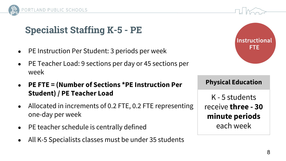

#### **Specialist Staffing K-5 - PE**

- PE Instruction Per Student: 3 periods per week
- PE Teacher Load: 9 sections per day or 45 sections per week
- **● PE FTE = (Number of Sections \*PE Instruction Per Student) / PE Teacher Load**
- Allocated in increments of 0.2 FTE, 0.2 FTE representing one-day per week
- PE teacher schedule is centrally defined
- All K-5 Specialists classes must be under 35 students



**Physical Education** K - 5 students receive **three - 30** 

**minute periods** each week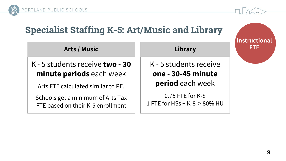



#### **Specialist Staffing K-5: Art/Music and Library**

K - 5 students receive **two - 30 minute periods** each week

**Arts / Music**

Arts FTE calculated similar to PE.

Schools get a minimum of Arts Tax FTE based on their K-5 enrollment

K - 5 students receive **one - 30-45 minute** 

**Library**

**period** each week

0.75 FTE for K-8 1 FTE for HSs + K-8 > 80% HU **Instructional FTE**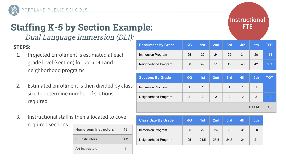

### **Staffing K-5 by Section Example:**

Dual Language Immersion (DLI):

#### **STEPS:**

- 1. Projected Enrollment is estimated at each grade level (section) for both DLI and neighborhood programs
- 2. Estimated enrollment is then divided by class size to determine number of sections required
- 3. Instructional staff is then allocated to cover required sections

| <b>Homeroom Instructors</b> | 18 |
|-----------------------------|----|
| <b>PE</b> Instructors       | 12 |
| <b>Art Instructors</b>      |    |

| <b>Enrollment By Grade</b> | KG           | 1st          | 2 <sub>nd</sub> | 3rd            | 4th | 5th          | <b>TOT</b>      |
|----------------------------|--------------|--------------|-----------------|----------------|-----|--------------|-----------------|
| Immersion Program          | 25           | 22           | 24              | 29             | 31  | 20           | 151             |
| Neighborhood Program       | 50           | 49           | 51              | 49             | 48  | 42           | 339             |
|                            |              |              |                 |                |     |              |                 |
|                            |              |              |                 |                |     |              |                 |
| <b>Sections By Grade</b>   | <b>KG</b>    | 1st          | 2 <sub>nd</sub> | 3rd            | 4th | 5th          | <b>TOT</b>      |
| Immersion Program          | $\mathbf{1}$ | $\mathbf{1}$ | $\mathbf{1}$    | $\mathbf{1}$   | 1   | $\mathbf{1}$ | $6\phantom{1}6$ |
| Neighborhood Program       | 2            | 2            | 2               | $\overline{2}$ | 2   | 2            | 12              |

| <b>Class Size By Grade</b> | <b>KG</b> | 4st  | 2 <sub>nd</sub> | 3rd  | 4th | 5th |
|----------------------------|-----------|------|-----------------|------|-----|-----|
| Immersion Program          | 25        | 22   | 24              | 29   | 31  | 20  |
| Neighborhood Program       | 25        | 24.5 | 25.5            | 24.5 | 24  | 21  |

Instructional FTE.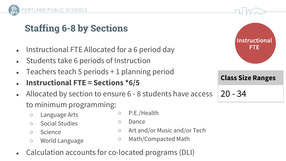

#### **Staffing 6-8 by Sections**

- Instructional FTE Allocated for a 6 period day
- Students take 6 periods of Instruction
- Teachers teach 5 periods  $+1$  planning period
- **● Instructional FTE = Sections \*6/5**
- Allocated by section to ensure 6 8 students have access to minimum programming:
	- Language Arts
	- Social Studies
	- Science
	- World Language
- P.E./Health
- Dance
- Art and/or Music and/or Tech
- Math/Compacted Math
- Calculation accounts for co-located programs (DLI)



20 - 34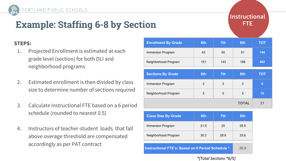### **Example: Staffing 6-8 by Section**

#### **Instructional** FTE.

#### **STEPS:**

1. Projected Enrollment is estimated at each grade level (section) for both DLI and neighborhood programs

PORTLAND PUBLIC SCHOOLS

- 2. Estimated enrollment is then divided by class size to determine number of sections required
- 3. Calculate Instructional FTE based on a 6 period schedule (rounded to nearest 0.5)
- 4. Instructors of teacher-student loads that fall above overage threshold are compensated accordingly as per PAT contract

| <b>Enrollment By Grade</b> | 6th | 7 <sup>th</sup> | 8th            | <b>TOT</b>      |
|----------------------------|-----|-----------------|----------------|-----------------|
| Immersion Program          | 43  | 50              | 51             | 144             |
| Neighborhood Program       | 151 | 143             | 168            | 462             |
| <b>Sections By Grade</b>   | 6th | 7th             | 8th            | <b>TOT</b>      |
| Immersion Program          | 2   | $\overline{2}$  | $\overline{2}$ | $6\phantom{1}6$ |
| Neighborhood Program       | 5   | 5               | 5              | 15              |
|                            |     |                 | <b>TOTAL</b>   | 21              |

| <b>Class Size By Grade</b> | 6th  | 7th. | 8th  |
|----------------------------|------|------|------|
| Immersion Program          | 21.5 | 25   | 25.5 |
| Neighborhood Program       | 30.2 | 28.6 | 336  |
|                            |      |      |      |

**Instructional FTE's: Based on 6 Period Schedule \* 25.5**

\*ITotal Sections \*6/51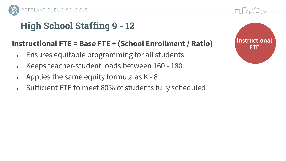

#### **High School Staffing 9 - 12**

#### **Instructional FTE = Base FTE + (School Enrollment / Ratio)**

- Ensures equitable programming for all students
- Keeps teacher-student loads between 160 180
- Applies the same equity formula as  $K 8$
- Sufficient FTE to meet 80% of students fully scheduled

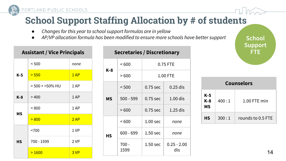

#### **School Support Staffing Allocation by # of students**

- *● Changes for this year to school support formulas are in yellow*
- *● AP/VP allocation formula has been modified to ensure more schools have better support*

| <b>Assistant / Vice Principals</b> |                      |      |  |  |  |
|------------------------------------|----------------------|------|--|--|--|
|                                    | < 500                | none |  |  |  |
| K-5                                | > 550                | 1AP  |  |  |  |
|                                    | $>$ 500 + $>$ 50% HU | 1 AP |  |  |  |
| K-8                                | >400                 | 1 AP |  |  |  |
| <b>MS</b>                          | < 800                | 1 AP |  |  |  |
|                                    | > 800                | 2AP  |  |  |  |
|                                    | < 700                | 1 VP |  |  |  |
| НS                                 | 700 - 1599           | 2 VP |  |  |  |
|                                    | >1600                | 3 VP |  |  |  |

#### **Secretaries / Discretionary K-8**  $\leq 600$  0.75 FTE > 600 1.00 FTE **MS**  $\leq$  500  $\qquad$  0.75 sec  $\qquad$  0.25 dis 500 - 599  $\pm$  0.75 sec  $\pm$  1.00 dis  $> 600$  0.75 sec 1.25 dis **HS** < 600 1.00 sec *none* 600 - 699 1.50 sec *none* 700 - 1599 1.50 sec  $\vert$  0.25 - 2.00 dis

| <b>Counselors</b> |       |                   |  |  |  |
|-------------------|-------|-------------------|--|--|--|
| K-5<br>K-8<br>ΜS  | 400:1 | $1.00$ FTE min    |  |  |  |
| HS                | 300:1 | rounds to 0.5 FTE |  |  |  |

**School Support** FTE.

14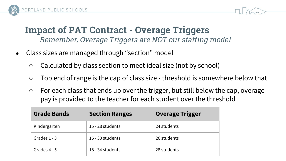

#### **Impact of PAT Contract - Overage Triggers** Remember, Overage Triggers are NOT our staffing model

- Class sizes are managed through "section" model
	- Calculated by class section to meet ideal size (not by school)
	- Top end of range is the cap of class size threshold is somewhere below that
	- $\circ$  For each class that ends up over the trigger, but still below the cap, overage pay is provided to the teacher for each student over the threshold

| <b>Grade Bands</b> | <b>Section Ranges</b> | <b>Overage Trigger</b> |
|--------------------|-----------------------|------------------------|
| Kindergarten       | 15 - 28 students      | 24 students            |
| Grades $1 - 3$     | 15 - 30 students      | 26 students            |
| Grades 4 - 5       | 18 - 34 students      | 28 students            |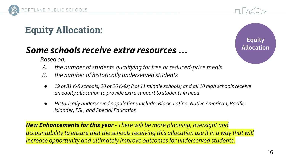

### **Equity Allocation:**

#### *Some schools receive extra resources …*

*Based on:* 

- *A. the number of students qualifying for free or reduced-price meals*
- *B. the number of historically underserved students*
- *● 19 of 31 K-5 schools; 20 of 26 K-8s; 8 of 11 middle schools; and all 10 high schools receive an equity allocation to provide extra support to students in need*
- *● Historically underserved populations include: Black, Latino, Native American, Pacific Islander, ESL, and Special Education*

*New Enhancements for this year - There will be more planning, oversight and accountability to ensure that the schools receiving this allocation use it in a way that will increase opportunity and ultimately improve outcomes for underserved students.*

**Equity Allocation**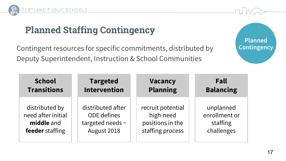

### **Planned Staffing Contingency**

Contingent resources for specific commitments, distributed by Deputy Superintendent, Instruction & School Communities



| <b>School</b>      | <b>Targeted</b>     | <b>Vacancy</b>    | Fall             |
|--------------------|---------------------|-------------------|------------------|
| <b>Transitions</b> | <b>Intervention</b> | <b>Planning</b>   | <b>Balancing</b> |
| distributed by     | distributed after   | recruit potential | unplanned        |
| need after initial | <b>ODE</b> defines  | high-need         | enrollment or    |
| middle and         | targeted needs ~    | positions in the  | staffing         |
| feeder staffing    | August 2018         | staffing process  | challenges       |